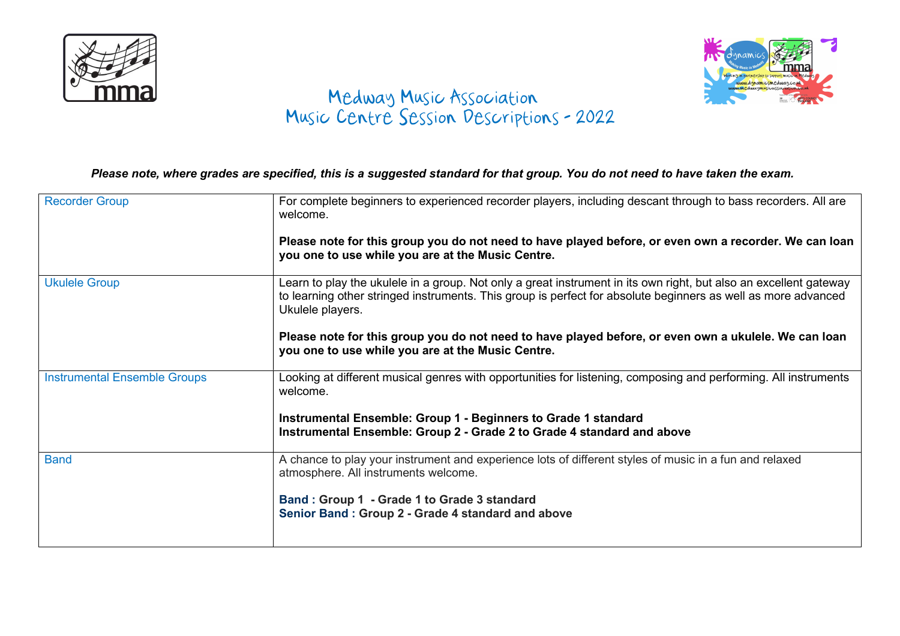



## **CHILLICO COMEDWAY MEdway Music Association** Music Centre Session Descriptions - 2022

Please note, where grades are specified, this is a suggested standard for that group. You do not need to have taken the exam.

| <b>Recorder Group</b>               | For complete beginners to experienced recorder players, including descant through to bass recorders. All are<br>welcome.                                                                                                                               |
|-------------------------------------|--------------------------------------------------------------------------------------------------------------------------------------------------------------------------------------------------------------------------------------------------------|
|                                     | Please note for this group you do not need to have played before, or even own a recorder. We can loan<br>you one to use while you are at the Music Centre.                                                                                             |
| <b>Ukulele Group</b>                | Learn to play the ukulele in a group. Not only a great instrument in its own right, but also an excellent gateway<br>to learning other stringed instruments. This group is perfect for absolute beginners as well as more advanced<br>Ukulele players. |
|                                     | Please note for this group you do not need to have played before, or even own a ukulele. We can loan<br>you one to use while you are at the Music Centre.                                                                                              |
| <b>Instrumental Ensemble Groups</b> | Looking at different musical genres with opportunities for listening, composing and performing. All instruments<br>welcome.                                                                                                                            |
|                                     | Instrumental Ensemble: Group 1 - Beginners to Grade 1 standard                                                                                                                                                                                         |
|                                     | Instrumental Ensemble: Group 2 - Grade 2 to Grade 4 standard and above                                                                                                                                                                                 |
| <b>Band</b>                         | A chance to play your instrument and experience lots of different styles of music in a fun and relaxed<br>atmosphere. All instruments welcome.                                                                                                         |
|                                     | Band: Group 1 - Grade 1 to Grade 3 standard<br>Senior Band: Group 2 - Grade 4 standard and above                                                                                                                                                       |
|                                     |                                                                                                                                                                                                                                                        |